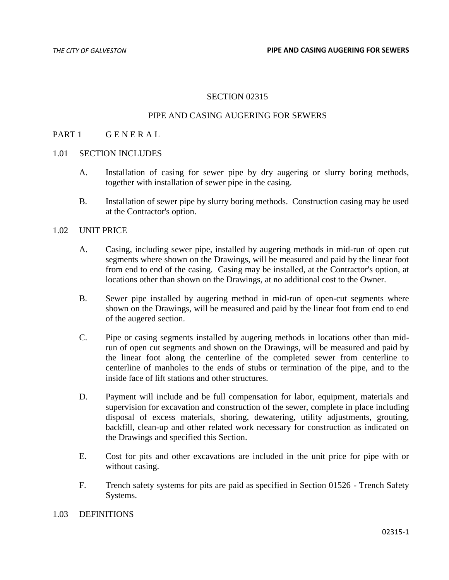### SECTION 02315

# PIPE AND CASING AUGERING FOR SEWERS

### PART 1 GENERAL

#### 1.01 SECTION INCLUDES

- A. Installation of casing for sewer pipe by dry augering or slurry boring methods, together with installation of sewer pipe in the casing.
- B. Installation of sewer pipe by slurry boring methods. Construction casing may be used at the Contractor's option.

### 1.02 UNIT PRICE

- A. Casing, including sewer pipe, installed by augering methods in mid-run of open cut segments where shown on the Drawings, will be measured and paid by the linear foot from end to end of the casing. Casing may be installed, at the Contractor's option, at locations other than shown on the Drawings, at no additional cost to the Owner.
- B. Sewer pipe installed by augering method in mid-run of open-cut segments where shown on the Drawings, will be measured and paid by the linear foot from end to end of the augered section.
- C. Pipe or casing segments installed by augering methods in locations other than midrun of open cut segments and shown on the Drawings, will be measured and paid by the linear foot along the centerline of the completed sewer from centerline to centerline of manholes to the ends of stubs or termination of the pipe, and to the inside face of lift stations and other structures.
- D. Payment will include and be full compensation for labor, equipment, materials and supervision for excavation and construction of the sewer, complete in place including disposal of excess materials, shoring, dewatering, utility adjustments, grouting, backfill, clean-up and other related work necessary for construction as indicated on the Drawings and specified this Section.
- E. Cost for pits and other excavations are included in the unit price for pipe with or without casing.
- F. Trench safety systems for pits are paid as specified in Section 01526 Trench Safety Systems.

#### 1.03 DEFINITIONS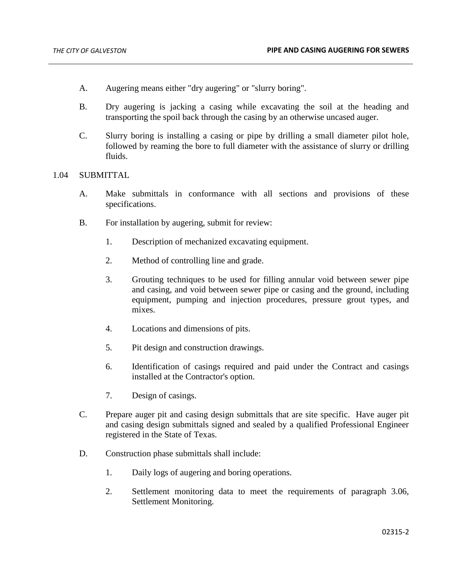- A. Augering means either "dry augering" or "slurry boring".
- B. Dry augering is jacking a casing while excavating the soil at the heading and transporting the spoil back through the casing by an otherwise uncased auger.
- C. Slurry boring is installing a casing or pipe by drilling a small diameter pilot hole, followed by reaming the bore to full diameter with the assistance of slurry or drilling fluids.

# 1.04 SUBMITTAL

- A. Make submittals in conformance with all sections and provisions of these specifications.
- B. For installation by augering, submit for review:
	- 1. Description of mechanized excavating equipment.
	- 2. Method of controlling line and grade.
	- 3. Grouting techniques to be used for filling annular void between sewer pipe and casing, and void between sewer pipe or casing and the ground, including equipment, pumping and injection procedures, pressure grout types, and mixes.
	- 4. Locations and dimensions of pits.
	- 5. Pit design and construction drawings.
	- 6. Identification of casings required and paid under the Contract and casings installed at the Contractor's option.
	- 7. Design of casings.
- C. Prepare auger pit and casing design submittals that are site specific. Have auger pit and casing design submittals signed and sealed by a qualified Professional Engineer registered in the State of Texas.
- D. Construction phase submittals shall include:
	- 1. Daily logs of augering and boring operations.
	- 2. Settlement monitoring data to meet the requirements of paragraph 3.06, Settlement Monitoring.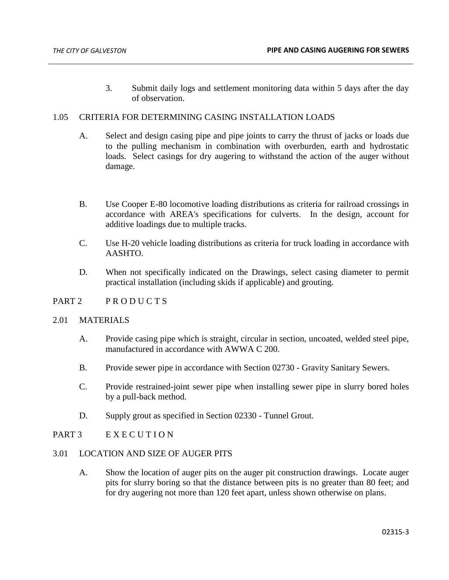3. Submit daily logs and settlement monitoring data within 5 days after the day of observation.

# 1.05 CRITERIA FOR DETERMINING CASING INSTALLATION LOADS

- A. Select and design casing pipe and pipe joints to carry the thrust of jacks or loads due to the pulling mechanism in combination with overburden, earth and hydrostatic loads. Select casings for dry augering to withstand the action of the auger without damage.
- B. Use Cooper E-80 locomotive loading distributions as criteria for railroad crossings in accordance with AREA's specifications for culverts. In the design, account for additive loadings due to multiple tracks.
- C. Use H-20 vehicle loading distributions as criteria for truck loading in accordance with AASHTO.
- D. When not specifically indicated on the Drawings, select casing diameter to permit practical installation (including skids if applicable) and grouting.

#### PART 2 PRODUCTS

#### 2.01 MATERIALS

- A. Provide casing pipe which is straight, circular in section, uncoated, welded steel pipe, manufactured in accordance with AWWA C 200.
- B. Provide sewer pipe in accordance with Section 02730 Gravity Sanitary Sewers.
- C. Provide restrained-joint sewer pipe when installing sewer pipe in slurry bored holes by a pull-back method.
- D. Supply grout as specified in Section 02330 Tunnel Grout.

# PART 3 EXECUTION

### 3.01 LOCATION AND SIZE OF AUGER PITS

A. Show the location of auger pits on the auger pit construction drawings. Locate auger pits for slurry boring so that the distance between pits is no greater than 80 feet; and for dry augering not more than 120 feet apart, unless shown otherwise on plans.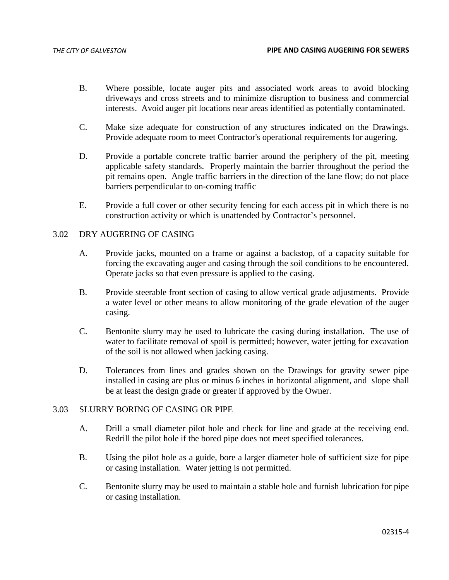- B. Where possible, locate auger pits and associated work areas to avoid blocking driveways and cross streets and to minimize disruption to business and commercial interests. Avoid auger pit locations near areas identified as potentially contaminated.
- C. Make size adequate for construction of any structures indicated on the Drawings. Provide adequate room to meet Contractor's operational requirements for augering.
- D. Provide a portable concrete traffic barrier around the periphery of the pit, meeting applicable safety standards. Properly maintain the barrier throughout the period the pit remains open. Angle traffic barriers in the direction of the lane flow; do not place barriers perpendicular to on-coming traffic
- E. Provide a full cover or other security fencing for each access pit in which there is no construction activity or which is unattended by Contractor's personnel.

# 3.02 DRY AUGERING OF CASING

- A. Provide jacks, mounted on a frame or against a backstop, of a capacity suitable for forcing the excavating auger and casing through the soil conditions to be encountered. Operate jacks so that even pressure is applied to the casing.
- B. Provide steerable front section of casing to allow vertical grade adjustments. Provide a water level or other means to allow monitoring of the grade elevation of the auger casing.
- C. Bentonite slurry may be used to lubricate the casing during installation. The use of water to facilitate removal of spoil is permitted; however, water jetting for excavation of the soil is not allowed when jacking casing.
- D. Tolerances from lines and grades shown on the Drawings for gravity sewer pipe installed in casing are plus or minus 6 inches in horizontal alignment, and slope shall be at least the design grade or greater if approved by the Owner.

# 3.03 SLURRY BORING OF CASING OR PIPE

- A. Drill a small diameter pilot hole and check for line and grade at the receiving end. Redrill the pilot hole if the bored pipe does not meet specified tolerances.
- B. Using the pilot hole as a guide, bore a larger diameter hole of sufficient size for pipe or casing installation. Water jetting is not permitted.
- C. Bentonite slurry may be used to maintain a stable hole and furnish lubrication for pipe or casing installation.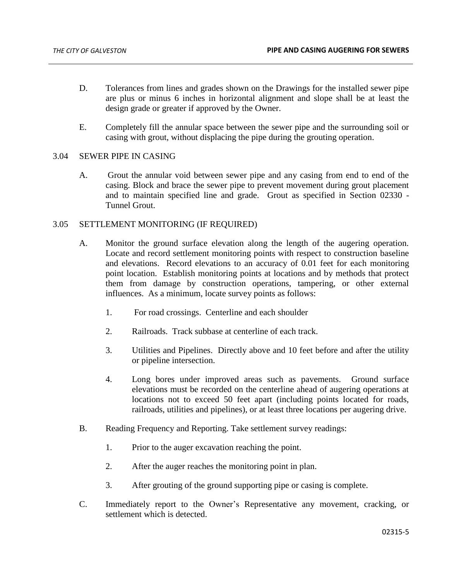- D. Tolerances from lines and grades shown on the Drawings for the installed sewer pipe are plus or minus 6 inches in horizontal alignment and slope shall be at least the design grade or greater if approved by the Owner.
- E. Completely fill the annular space between the sewer pipe and the surrounding soil or casing with grout, without displacing the pipe during the grouting operation.

# 3.04 SEWER PIPE IN CASING

A. Grout the annular void between sewer pipe and any casing from end to end of the casing. Block and brace the sewer pipe to prevent movement during grout placement and to maintain specified line and grade. Grout as specified in Section 02330 - Tunnel Grout.

# 3.05 SETTLEMENT MONITORING (IF REQUIRED)

- A. Monitor the ground surface elevation along the length of the augering operation. Locate and record settlement monitoring points with respect to construction baseline and elevations. Record elevations to an accuracy of 0.01 feet for each monitoring point location. Establish monitoring points at locations and by methods that protect them from damage by construction operations, tampering, or other external influences. As a minimum, locate survey points as follows:
	- 1. For road crossings. Centerline and each shoulder
	- 2. Railroads. Track subbase at centerline of each track.
	- 3. Utilities and Pipelines. Directly above and 10 feet before and after the utility or pipeline intersection.
	- 4. Long bores under improved areas such as pavements. Ground surface elevations must be recorded on the centerline ahead of augering operations at locations not to exceed 50 feet apart (including points located for roads, railroads, utilities and pipelines), or at least three locations per augering drive.
- B. Reading Frequency and Reporting. Take settlement survey readings:
	- 1. Prior to the auger excavation reaching the point.
	- 2. After the auger reaches the monitoring point in plan.
	- 3. After grouting of the ground supporting pipe or casing is complete.
- C. Immediately report to the Owner's Representative any movement, cracking, or settlement which is detected.